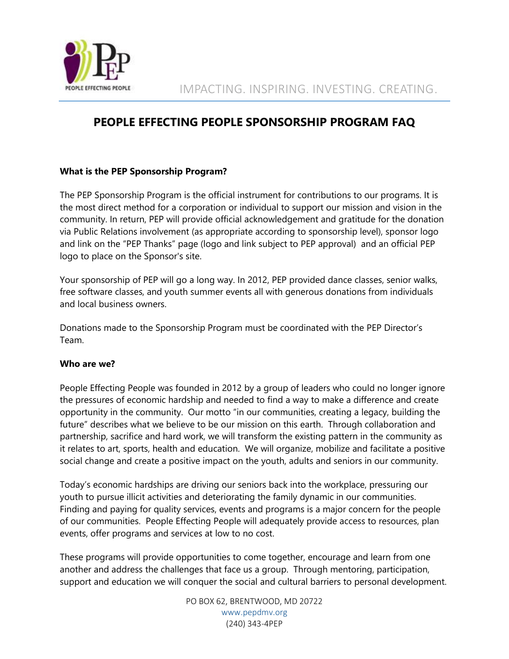

# **PEOPLE EFFECTING PEOPLE SPONSORSHIP PROGRAM FAQ**

# **What is the PEP Sponsorship Program?**

The PEP Sponsorship Program is the official instrument for contributions to our programs. It is the most direct method for a corporation or individual to support our mission and vision in the community. In return, PEP will provide official acknowledgement and gratitude for the donation via Public Relations involvement (as appropriate according to sponsorship level), sponsor logo and link on the "PEP Thanks" page (logo and link subject to PEP approval) and an official PEP logo to place on the Sponsor's site.

Your sponsorship of PEP will go a long way. In 2012, PEP provided dance classes, senior walks, free software classes, and youth summer events all with generous donations from individuals and local business owners.

Donations made to the Sponsorship Program must be coordinated with the PEP Director's Team.

#### **Who are we?**

People Effecting People was founded in 2012 by a group of leaders who could no longer ignore the pressures of economic hardship and needed to find a way to make a difference and create opportunity in the community. Our motto "in our communities, creating a legacy, building the future" describes what we believe to be our mission on this earth. Through collaboration and partnership, sacrifice and hard work, we will transform the existing pattern in the community as it relates to art, sports, health and education. We will organize, mobilize and facilitate a positive social change and create a positive impact on the youth, adults and seniors in our community.

Today's economic hardships are driving our seniors back into the workplace, pressuring our youth to pursue illicit activities and deteriorating the family dynamic in our communities. Finding and paying for quality services, events and programs is a major concern for the people of our communities. People Effecting People will adequately provide access to resources, plan events, offer programs and services at low to no cost.

These programs will provide opportunities to come together, encourage and learn from one another and address the challenges that face us a group. Through mentoring, participation, support and education we will conquer the social and cultural barriers to personal development.

> PO BOX 62, BRENTWOOD, MD 20722 [www.pepdmv.org](http://www.pepdmv.org/) (240) 343-4PEP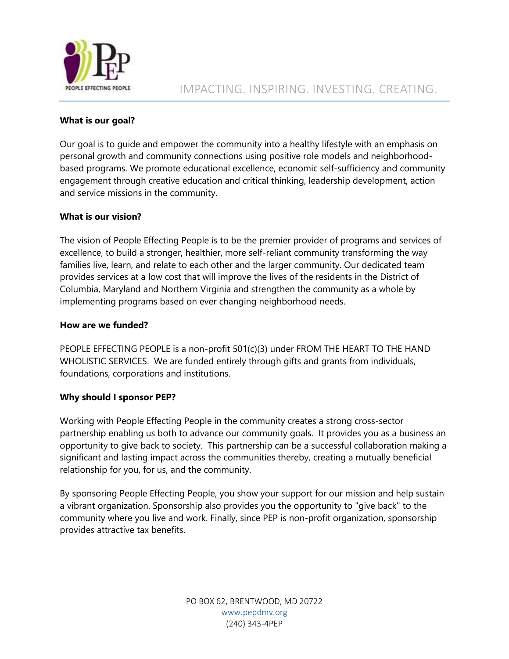

### **What is our goal?**

Our goal is to guide and empower the community into a healthy lifestyle with an emphasis on personal growth and community connections using positive role models and neighborhoodbased programs. We promote educational excellence, economic self-sufficiency and community engagement through creative education and critical thinking, leadership development, action and service missions in the community.

# **What is our vision?**

The vision of People Effecting People is to be the premier provider of programs and services of excellence, to build a stronger, healthier, more self-reliant community transforming the way families live, learn, and relate to each other and the larger community. Our dedicated team provides services at a low cost that will improve the lives of the residents in the District of Columbia, Maryland and Northern Virginia and strengthen the community as a whole by implementing programs based on ever changing neighborhood needs.

#### **How are we funded?**

PEOPLE EFFECTING PEOPLE is a non-profit 501(c)(3) under FROM THE HEART TO THE HAND WHOLISTIC SERVICES. We are funded entirely through gifts and grants from individuals, foundations, corporations and institutions.

#### **Why should I sponsor PEP?**

Working with People Effecting People in the community creates a strong cross-sector partnership enabling us both to advance our community goals. It provides you as a business an opportunity to give back to society. This partnership can be a successful collaboration making a significant and lasting impact across the communities thereby, creating a mutually beneficial relationship for you, for us, and the community.

By sponsoring People Effecting People, you show your support for our mission and help sustain a vibrant organization. Sponsorship also provides you the opportunity to "give back" to the community where you live and work. Finally, since PEP is non-profit organization, sponsorship provides attractive tax benefits.

> PO BOX 62, BRENTWOOD, MD 20722 [www.pepdmv.org](http://www.pepdmv.org/) (240) 343-4PEP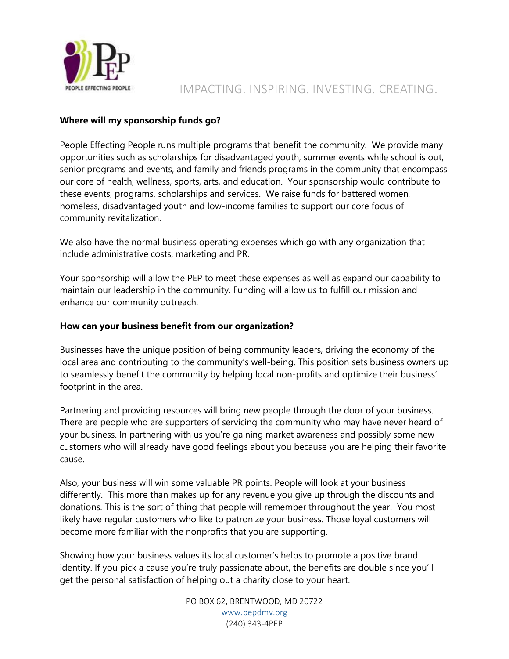

#### **Where will my sponsorship funds go?**

People Effecting People runs multiple programs that benefit the community. We provide many opportunities such as scholarships for disadvantaged youth, summer events while school is out, senior programs and events, and family and friends programs in the community that encompass our core of health, wellness, sports, arts, and education. Your sponsorship would contribute to these events, programs, scholarships and services. We raise funds for battered women, homeless, disadvantaged youth and low-income families to support our core focus of community revitalization.

We also have the normal business operating expenses which go with any organization that include administrative costs, marketing and PR.

Your sponsorship will allow the PEP to meet these expenses as well as expand our capability to maintain our leadership in the community. Funding will allow us to fulfill our mission and enhance our community outreach.

#### **How can your business benefit from our organization?**

Businesses have the unique position of being community leaders, driving the economy of the local area and contributing to the community's well-being. This position sets business owners up to seamlessly benefit the community by helping local non-profits and optimize their business' footprint in the area.

Partnering and providing resources will bring new people through the door of your business. There are people who are supporters of servicing the community who may have never heard of your business. In partnering with us you're gaining market awareness and possibly some new customers who will already have good feelings about you because you are helping their favorite cause.

Also, your business will win some valuable PR points. People will look at your business differently. This more than makes up for any revenue you give up through the discounts and donations. This is the sort of thing that people will remember throughout the year. You most likely have regular customers who like to patronize your business. Those loyal customers will become more familiar with the nonprofits that you are supporting.

Showing how your business values its local customer's helps to promote a positive brand identity. If you pick a cause you're truly passionate about, the benefits are double since you'll get the personal satisfaction of helping out a charity close to your heart.

> PO BOX 62, BRENTWOOD, MD 20722 [www.pepdmv.org](http://www.pepdmv.org/) (240) 343-4PEP